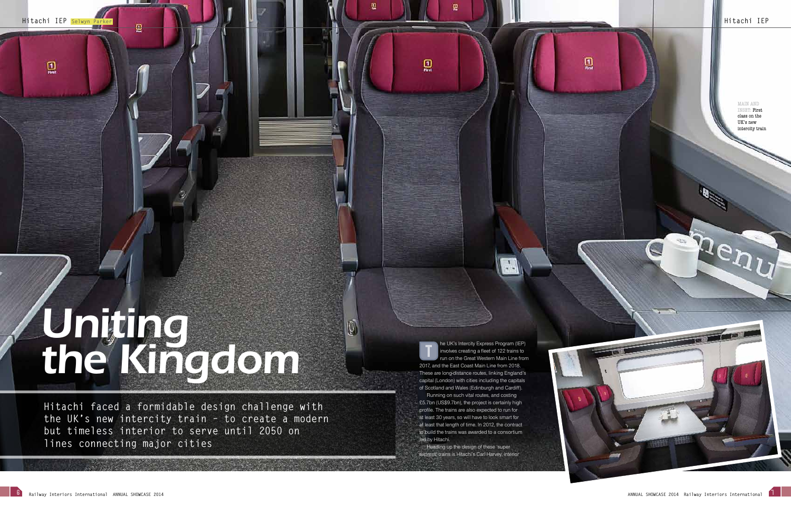**Hitachi IEP Selwyn Parker B** 

 $\mathbf{Q}$ 

. . .

The UK's Intercity Express Program (IEP)<br>involves creating a fleet of 122 trains to<br>run on the Great Western Main Line from In on the Great Western Main Line from 2017, and the East Coast Main Line from 2018. These are long-distance routes, linking England's capital (London) with cities including the capitals of Scotland and Wales (Edinburgh and Cardiff).

 $\label{eq:4} \begin{array}{ll} \boxed{1}\\ \text{free} \end{array}$ 

Running on such vital routes, and costing £5.7bn (US\$9.7bn), the project is certainly high profile. The trains are also expected to run for at least 30 years, so will have to look smart for at least that length of time. In 2012, the contract to build the trains was awarded to a consortium led by Hitachi.

Heading up the design of these 'super express' trains is Hitachi's Carl Harvey, interior  $\mathbf{Q}$ 

# *Uniting the Kingdom*

**Hitachi faced a formidable design challenge with the UK's new intercity train – to create a modern but timeless interior to serve until 2050 on lines connecting major cities**

#### MAIN AND INSET: First

class on the UK's new intercity train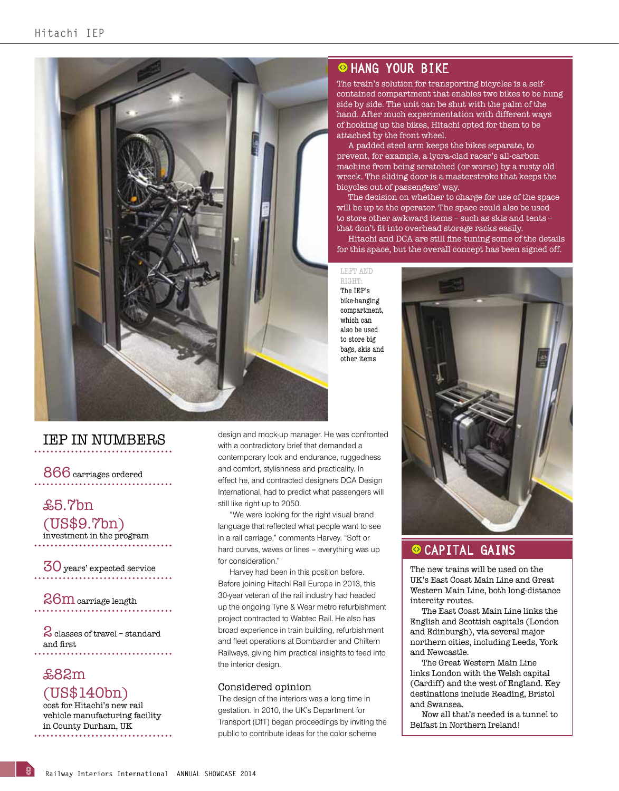

## IEP IN NUMBERS

866 carriages ordered

£5.7bn (US\$9.7bn) investment in the program

30 years' expected service

26m carriage length

2 classes of travel – standard and first 

## £82m (US\$140bn)

8

cost for Hitachi's new rail vehicle manufacturing facility in County Durham, UK

## **CHANG YOUR BIKE**

The train's solution for transporting bicycles is a selfcontained compartment that enables two bikes to be hung side by side. The unit can be shut with the palm of the hand. After much experimentation with different ways of hooking up the bikes, Hitachi opted for them to be attached by the front wheel.

A padded steel arm keeps the bikes separate, to prevent, for example, a lycra-clad racer's all-carbon machine from being scratched (or worse) by a rusty old wreck. The sliding door is a masterstroke that keeps the bicycles out of passengers' way.

The decision on whether to charge for use of the space will be up to the operator. The space could also be used to store other awkward items – such as skis and tents – that don't fit into overhead storage racks easily.

Hitachi and DCA are still fine-tuning some of the details for this space, but the overall concept has been signed off.

LEFT AND right: The IEP's bike-hanging compartment, which can also be used to store big bags, skis and other items

design and mock-up manager. He was confronted with a contradictory brief that demanded a contemporary look and endurance, ruggedness and comfort, stylishness and practicality. In effect he, and contracted designers DCA Design International, had to predict what passengers will still like right up to 2050.

"We were looking for the right visual brand language that reflected what people want to see in a rail carriage," comments Harvey. "Soft or hard curves, waves or lines – everything was up for consideration."

Harvey had been in this position before. Before joining Hitachi Rail Europe in 2013, this 30-year veteran of the rail industry had headed up the ongoing Tyne & Wear metro refurbishment project contracted to Wabtec Rail. He also has broad experience in train building, refurbishment and fleet operations at Bombardier and Chiltern Railways, giving him practical insights to feed into the interior design.

#### Considered opinion

The design of the interiors was a long time in gestation. In 2010, the UK's Department for Transport (DfT) began proceedings by inviting the public to contribute ideas for the color scheme



## O CAPITAL GAINS

The new trains will be used on the UK's East Coast Main Line and Great Western Main Line, both long-distance intercity routes.

The East Coast Main Line links the English and Scottish capitals (London and Edinburgh), via several major northern cities, including Leeds, York and Newcastle.

The Great Western Main Line links London with the Welsh capital (Cardiff) and the west of England. Key destinations include Reading, Bristol and Swansea.

Now all that's needed is a tunnel to Belfast in Northern Ireland!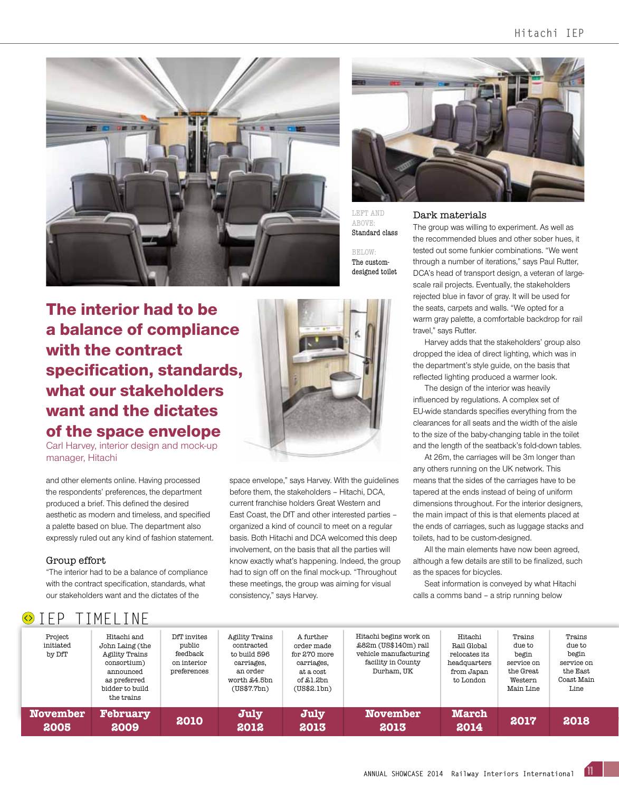



left and ABOVE: Standard class

below: The customdesigned toilet

The interior had to be a balance of compliance with the contract specification, standards, what our stakeholders want and the dictates of the space envelope

Carl Harvey, interior design and mock-up manager, Hitachi

and other elements online. Having processed the respondents' preferences, the department produced a brief. This defined the desired aesthetic as modern and timeless, and specified a palette based on blue. The department also expressly ruled out any kind of fashion statement.

#### Group effort

 $\circ$  TFP TIMELINE

"The interior had to be a balance of compliance with the contract specification, standards, what our stakeholders want and the dictates of the



space envelope," says Harvey. With the guidelines before them, the stakeholders – Hitachi, DCA, current franchise holders Great Western and East Coast, the DfT and other interested parties – organized a kind of council to meet on a regular basis. Both Hitachi and DCA welcomed this deep involvement, on the basis that all the parties will know exactly what's happening. Indeed, the group had to sign off on the final mock-up. "Throughout these meetings, the group was aiming for visual consistency," says Harvey.

#### Dark materials

The group was willing to experiment. As well as the recommended blues and other sober hues, it tested out some funkier combinations. "We went through a number of iterations," says Paul Rutter, DCA's head of transport design, a veteran of largescale rail projects. Eventually, the stakeholders rejected blue in favor of gray. It will be used for the seats, carpets and walls. "We opted for a warm gray palette, a comfortable backdrop for rail travel," says Rutter.

Harvey adds that the stakeholders' group also dropped the idea of direct lighting, which was in the department's style guide, on the basis that reflected lighting produced a warmer look.

The design of the interior was heavily influenced by regulations. A complex set of EU-wide standards specifies everything from the clearances for all seats and the width of the aisle to the size of the baby-changing table in the toilet and the length of the seatback's fold-down tables.

At 26m, the carriages will be 3m longer than any others running on the UK network. This means that the sides of the carriages have to be tapered at the ends instead of being of uniform dimensions throughout. For the interior designers, the main impact of this is that elements placed at the ends of carriages, such as luggage stacks and toilets, had to be custom-designed.

All the main elements have now been agreed, although a few details are still to be finalized, such as the spaces for bicycles.

Seat information is conveyed by what Hitachi calls a comms band – a strip running below

| --                             |                                                                                                                               |                                                                 |                                                                                                       |                                                                                                   |                                                                                                             |                                                                                    |                                                                              |                                                                           |
|--------------------------------|-------------------------------------------------------------------------------------------------------------------------------|-----------------------------------------------------------------|-------------------------------------------------------------------------------------------------------|---------------------------------------------------------------------------------------------------|-------------------------------------------------------------------------------------------------------------|------------------------------------------------------------------------------------|------------------------------------------------------------------------------|---------------------------------------------------------------------------|
| Project<br>initiated<br>by DfT | Hitachi and<br>John Laing (the<br>Agility Trains<br>consortium)<br>announced<br>as preferred<br>bidder to build<br>the trains | DfT invites<br>public<br>feedback<br>on interior<br>preferences | Agility Trains<br>contracted<br>to build 596<br>carriages,<br>an order<br>worth £4.5bn<br>(US\$7.7bn) | A further<br>order made<br>for $270$ more<br>carriages,<br>at a cost<br>of \$1.2bn<br>(US\$2.Lbn) | Hitachi begins work on<br>£82m (US\$140m) rail<br>vehicle manufacturing<br>facility in County<br>Durham, UK | Hitachi<br>Rail Global<br>relocates its<br>headquarters<br>from Japan<br>to London | Trains<br>due to<br>begin<br>service on<br>the Great<br>Western<br>Main Line | Trains<br>due to<br>begin<br>service on<br>the East<br>Coast Main<br>Line |
| <b>November</b><br>2005        | <b>February</b><br>2009                                                                                                       | 2010                                                            | July<br>2012                                                                                          | July<br>2013                                                                                      | <b>November</b><br>2013                                                                                     | <b>March</b><br>2014                                                               | 2017                                                                         | 2018                                                                      |

11